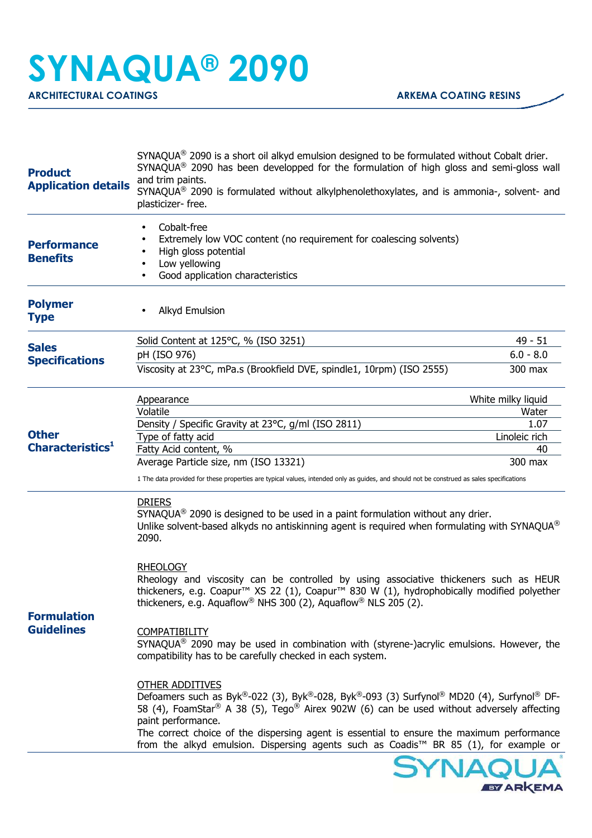## **SYNAQUA® 2090**

ARCHITECTURAL COATINGS **ARKEMA COATING RESINS** 

| <b>Product</b><br><b>Application details</b> | SYNAQUA® 2090 is a short oil alkyd emulsion designed to be formulated without Cobalt drier.<br>$SYNAQUA^{\circledast}$ 2090 has been developped for the formulation of high gloss and semi-gloss wall<br>and trim paints.<br>SYNAQUA® 2090 is formulated without alkylphenolethoxylates, and is ammonia-, solvent- and<br>plasticizer-free.                                                                                                                          |                    |  |
|----------------------------------------------|----------------------------------------------------------------------------------------------------------------------------------------------------------------------------------------------------------------------------------------------------------------------------------------------------------------------------------------------------------------------------------------------------------------------------------------------------------------------|--------------------|--|
| <b>Performance</b><br><b>Benefits</b>        | Cobalt-free<br>Extremely low VOC content (no requirement for coalescing solvents)<br>High gloss potential<br>Low yellowing<br>Good application characteristics                                                                                                                                                                                                                                                                                                       |                    |  |
| <b>Polymer</b><br><b>Type</b>                | <b>Alkyd Emulsion</b>                                                                                                                                                                                                                                                                                                                                                                                                                                                |                    |  |
| <b>Sales</b><br><b>Specifications</b>        | Solid Content at 125°C, % (ISO 3251)                                                                                                                                                                                                                                                                                                                                                                                                                                 | 49 - 51            |  |
|                                              | pH (ISO 976)                                                                                                                                                                                                                                                                                                                                                                                                                                                         | $6.0 - 8.0$        |  |
|                                              | Viscosity at 23°C, mPa.s (Brookfield DVE, spindle1, 10rpm) (ISO 2555)                                                                                                                                                                                                                                                                                                                                                                                                | 300 max            |  |
|                                              | Appearance                                                                                                                                                                                                                                                                                                                                                                                                                                                           | White milky liquid |  |
|                                              | Volatile                                                                                                                                                                                                                                                                                                                                                                                                                                                             | Water              |  |
|                                              | Density / Specific Gravity at 23°C, g/ml (ISO 2811)                                                                                                                                                                                                                                                                                                                                                                                                                  | 1.07               |  |
| <b>Other</b>                                 | Type of fatty acid                                                                                                                                                                                                                                                                                                                                                                                                                                                   | Linoleic rich      |  |
| <b>Characteristics</b> <sup>1</sup>          | Fatty Acid content, %                                                                                                                                                                                                                                                                                                                                                                                                                                                | 40                 |  |
|                                              | Average Particle size, nm (ISO 13321)<br>1 The data provided for these properties are typical values, intended only as guides, and should not be construed as sales specifications                                                                                                                                                                                                                                                                                   | 300 max            |  |
| <b>Formulation</b><br><b>Guidelines</b>      | <b>DRIERS</b><br>$SYNAQUA^{\circledast}$ 2090 is designed to be used in a paint formulation without any drier.<br>Unlike solvent-based alkyds no antiskinning agent is required when formulating with SYNAQUA <sup>®</sup><br>2090.<br><b>RHEOLOGY</b><br>Rheology and viscosity can be controlled by using associative thickeners such as HEUR<br>thickeners, e.g. Coapur <sup>™</sup> XS 22 (1), Coapur <sup>™</sup> 830 W (1), hydrophobically modified polyether |                    |  |
|                                              | thickeners, e.g. Aquaflow <sup>®</sup> NHS 300 (2), Aquaflow <sup>®</sup> NLS 205 (2).<br><b>COMPATIBILITY</b><br>SYNAQUA® 2090 may be used in combination with (styrene-)acrylic emulsions. However, the<br>compatibility has to be carefully checked in each system.                                                                                                                                                                                               |                    |  |
|                                              | <b>OTHER ADDITIVES</b><br>Defoamers such as Byk®-022 (3), Byk®-028, Byk®-093 (3) Surfynol® MD20 (4), Surfynol® DF-<br>58 (4), FoamStar <sup>®</sup> A 38 (5), Tego <sup>®</sup> Airex 902W (6) can be used without adversely affecting<br>paint performance.<br>The correct choice of the dispersing agent is essential to ensure the maximum performance                                                                                                            |                    |  |
|                                              | from the alkyd emulsion. Dispersing agents such as Coadis <sup>™</sup> BR 85 (1), for example or                                                                                                                                                                                                                                                                                                                                                                     |                    |  |
|                                              |                                                                                                                                                                                                                                                                                                                                                                                                                                                                      | <b>INIAN</b>       |  |